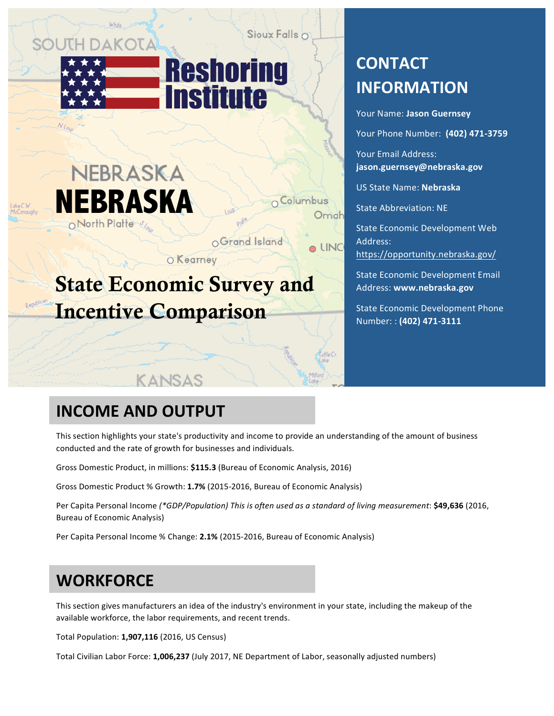# JPH DAK

Sioux Falls o

Columbus

Omah

**LINC** 



# NEBRASKA **NEBRASKA**

OGrand Island

**O**Kearney

# State Economic Survey and Incentive Comparison

KANSAS

# **CONTACT INFORMATION**

Your Name: Jason Guernsey Your Phone Number: **(402) 471-3759** Your Email Address: **jason.guernsey@nebraska.gov** US State Name: **Nebraska** State Abbreviation: NE State Economic Development Web Address: https://opportunity.nebraska.gov/

State Economic Development Email Address: **www.nebraska.gov**

State Economic Development Phone Number: : **(402) 471-3111**

# **INCOME AND OUTPUT**

This section highlights your state's productivity and income to provide an understanding of the amount of business conducted and the rate of growth for businesses and individuals.

Gross Domestic Product, in millions: \$115.3 (Bureau of Economic Analysis, 2016)

Gross Domestic Product % Growth: 1.7% (2015-2016, Bureau of Economic Analysis)

Per Capita Personal Income (\*GDP/Population) This is often used as a standard of living measurement: \$49,636 (2016, Bureau of Economic Analysis)

Per Capita Personal Income % Change: 2.1% (2015-2016, Bureau of Economic Analysis)

# **WORKFORCE**

This section gives manufacturers an idea of the industry's environment in your state, including the makeup of the available workforce, the labor requirements, and recent trends.

Total Population: **1,907,116** (2016, US Census)

Total Civilian Labor Force: **1,006,237** (July 2017, NE Department of Labor, seasonally adjusted numbers)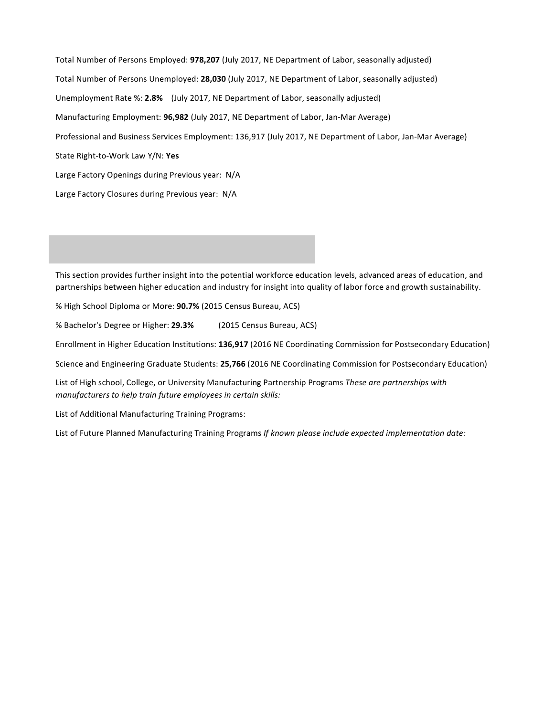Total Number of Persons Employed: **978,207** (July 2017, NE Department of Labor, seasonally adjusted) Total Number of Persons Unemployed: 28,030 (July 2017, NE Department of Labor, seasonally adjusted) Unemployment Rate %: 2.8% (July 2017, NE Department of Labor, seasonally adjusted) Manufacturing Employment: **96,982** (July 2017, NE Department of Labor, Jan-Mar Average) Professional and Business Services Employment: 136,917 (July 2017, NE Department of Labor, Jan-Mar Average) State Right-to-Work Law Y/N: Yes Large Factory Openings during Previous year: N/A Large Factory Closures during Previous year: N/A

This section provides further insight into the potential workforce education levels, advanced areas of education, and partnerships between higher education and industry for insight into quality of labor force and growth sustainability.

% High School Diploma or More: **90.7%** (2015 Census Bureau, ACS)

% Bachelor's Degree or Higher: 29.3% (2015 Census Bureau, ACS)

Enrollment in Higher Education Institutions: 136,917 (2016 NE Coordinating Commission for Postsecondary Education)

Science and Engineering Graduate Students: 25,766 (2016 NE Coordinating Commission for Postsecondary Education)

List of High school, College, or University Manufacturing Partnership Programs These are partnerships with *manufacturers to help train future employees in certain skills:* 

List of Additional Manufacturing Training Programs:

List of Future Planned Manufacturing Training Programs If known please include expected implementation date: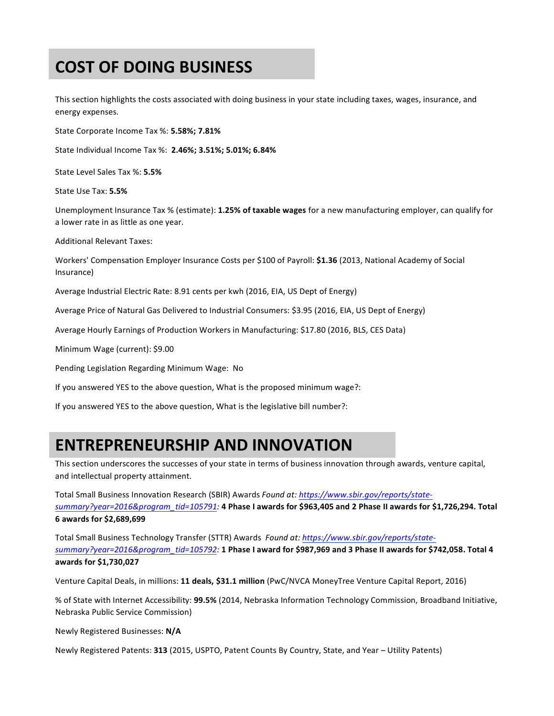# **COST OF DOING BUSINESS**

This section highlights the costs associated with doing business in your state including taxes, wages, insurance, and energy expenses.

State Corporate Income Tax %: 5.58%; 7.81%

State Individual Income Tax %: 2.46%; 3.51%; 5.01%; 6.84%

State Level Sales Tax %: 5.5%

State Use Tax: **5.5%**

Unemployment Insurance Tax % (estimate): **1.25% of taxable wages** for a new manufacturing employer, can qualify for a lower rate in as little as one year.

Additional Relevant Taxes:

Workers' Compensation Employer Insurance Costs per \$100 of Payroll: \$1.36 (2013, National Academy of Social Insurance)

Average Industrial Electric Rate: 8.91 cents per kwh (2016, EIA, US Dept of Energy)

Average Price of Natural Gas Delivered to Industrial Consumers: \$3.95 (2016, EIA, US Dept of Energy)

Average Hourly Earnings of Production Workers in Manufacturing: \$17.80 (2016, BLS, CES Data)

Minimum Wage (current): \$9.00

Pending Legislation Regarding Minimum Wage: No

If you answered YES to the above question, What is the proposed minimum wage?:

If you answered YES to the above question, What is the legislative bill number?:

### **ENTREPRENEURSHIP AND INNOVATION**

This section underscores the successes of your state in terms of business innovation through awards, venture capital, and intellectual property attainment.

Total Small Business Innovation Research (SBIR) Awards Found at: https://www.sbir.gov/reports/statesummary?year=2016&program\_tid=105791: 4 Phase I awards for \$963,405 and 2 Phase II awards for \$1,726,294. Total **6 awards for \$2,689,699**

Total Small Business Technology Transfer (STTR) Awards Found at: https://www.sbir.gov/reports/statesummary?year=2016&program\_tid=105792: 1 Phase I award for \$987,969 and 3 Phase II awards for \$742,058. Total 4 **awards for \$1,730,027**

Venture Capital Deals, in millions: 11 deals, \$31.1 million (PwC/NVCA MoneyTree Venture Capital Report, 2016)

% of State with Internet Accessibility: 99.5% (2014, Nebraska Information Technology Commission, Broadband Initiative, Nebraska Public Service Commission)

Newly Registered Businesses: **N/A**

Newly Registered Patents: 313 (2015, USPTO, Patent Counts By Country, State, and Year - Utility Patents)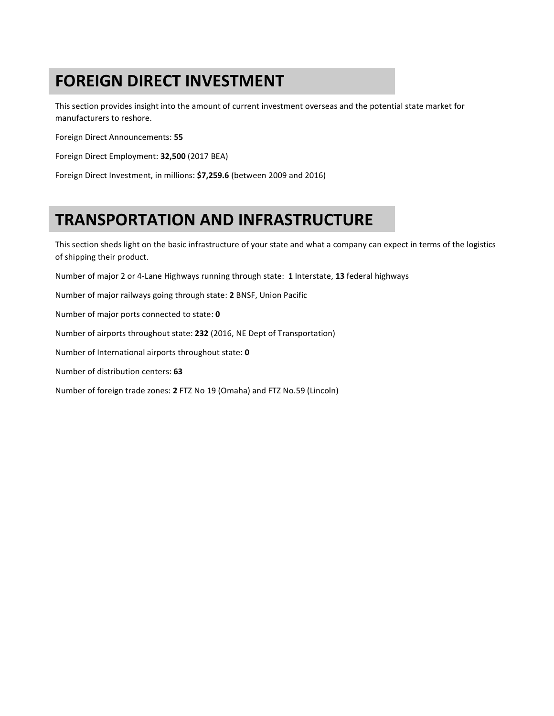# **FOREIGN DIRECT INVESTMENT**

This section provides insight into the amount of current investment overseas and the potential state market for manufacturers to reshore.

Foreign Direct Announcements: **55**

Foreign Direct Employment: **32,500** (2017 BEA)

Foreign Direct Investment, in millions: \$7,259.6 (between 2009 and 2016)

# **TRANSPORTATION AND INFRASTRUCTURE**

This section sheds light on the basic infrastructure of your state and what a company can expect in terms of the logistics of shipping their product.

Number of major 2 or 4-Lane Highways running through state: 1 Interstate, 13 federal highways

Number of major railways going through state: 2 BNSF, Union Pacific

Number of major ports connected to state: 0

Number of airports throughout state: 232 (2016, NE Dept of Transportation)

Number of International airports throughout state: 0

Number of distribution centers: **63**

Number of foreign trade zones: 2 FTZ No 19 (Omaha) and FTZ No.59 (Lincoln)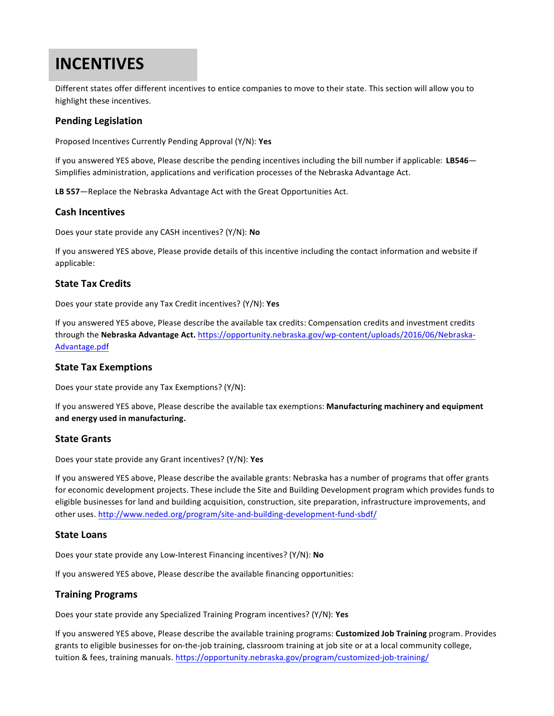## **INCENTIVES**

Different states offer different incentives to entice companies to move to their state. This section will allow you to highlight these incentives.

#### **Pending Legislation**

Proposed Incentives Currently Pending Approval (Y/N): Yes

If you answered YES above, Please describe the pending incentives including the bill number if applicable: LB546— Simplifies administration, applications and verification processes of the Nebraska Advantage Act.

LB 557-Replace the Nebraska Advantage Act with the Great Opportunities Act.

#### **Cash Incentives**

Does your state provide any CASH incentives? (Y/N): No

If you answered YES above, Please provide details of this incentive including the contact information and website if applicable: 

#### **State Tax Credits**

Does your state provide any Tax Credit incentives? (Y/N): Yes

If you answered YES above, Please describe the available tax credits: Compensation credits and investment credits through the Nebraska Advantage Act. https://opportunity.nebraska.gov/wp-content/uploads/2016/06/Nebraska-Advantage.pdf

#### **State Tax Exemptions**

Does your state provide any Tax Exemptions? (Y/N):

If you answered YES above, Please describe the available tax exemptions: Manufacturing machinery and equipment **and energy used in manufacturing.**

#### **State Grants**

Does your state provide any Grant incentives? (Y/N): Yes

If you answered YES above, Please describe the available grants: Nebraska has a number of programs that offer grants for economic development projects. These include the Site and Building Development program which provides funds to eligible businesses for land and building acquisition, construction, site preparation, infrastructure improvements, and other uses. http://www.neded.org/program/site-and-building-development-fund-sbdf/

#### **State Loans**

Does your state provide any Low-Interest Financing incentives? (Y/N): No

If you answered YES above, Please describe the available financing opportunities:

#### **Training Programs**

Does your state provide any Specialized Training Program incentives? (Y/N): Yes

If you answered YES above, Please describe the available training programs: Customized Job Training program. Provides grants to eligible businesses for on-the-job training, classroom training at job site or at a local community college, tuition & fees, training manuals. https://opportunity.nebraska.gov/program/customized-job-training/